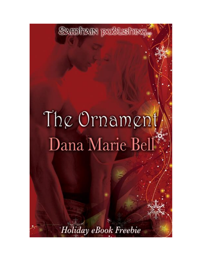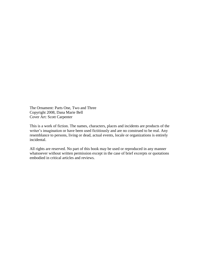The Ornament: Parts One, Two and Three Copyright 2008, Dana Marie Bell Cover Art: Scott Carpenter

This is a work of fiction. The names, characters, places and incidents are products of the writer's imagination or have been used fictitiously and are no construed to be real. Any resemblance to persons, living or dead, actual events, locale or organizations is entirely incidental.

All rights are reserved. No part of this book may be used or reproduced in any manner whatsoever without written permission except in the case of brief excerpts or quotations embodied in critical articles and reviews.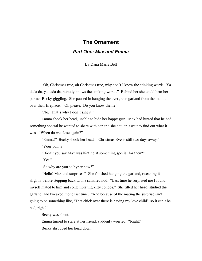## **The Ornament**

### *Part One: Max and Emma*

By Dana Marie Bell

"Oh, Christmas tree, oh Christmas tree, why don't I know the stinking words. Ya dada da, ya dada da, nobody knows the stinking words." Behind her she could hear her partner Becky giggling. She paused in hanging the evergreen garland from the mantle over their fireplace. "Oh please. Do you know them?"

"No. That's why I don't sing it."

Emma shook her head, unable to hide her happy grin. Max had hinted that he had something special he wanted to share with her and she couldn't wait to find out what it was. "When do we close again?"

"Emma!" Becky shook her head. "Christmas Eve is still two days away." "Your point?"

"Didn't you say Max was hinting at something special for then?"

"Yes."

"So why are you so hyper now?"

"Hello! Max and surprises." She finished hanging the garland, tweaking it slightly before stepping back with a satisfied nod. "Last time he surprised me I found myself mated to him and contemplating kitty condos." She tilted her head, studied the garland, and tweaked it one last time. "And because of the mating the surprise isn't going to be something like, 'That chick over there is having my love child', so it can't be bad, right?"

Becky was silent.

Emma turned to stare at her friend, suddenly worried. "Right?"

Becky shrugged her head down.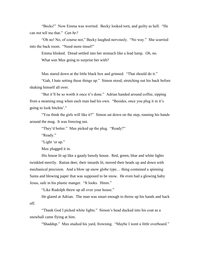"Becks!" Now Emma was worried. Becky looked torn, and guilty as hell. "He can *not* tell me that." *Can he?*

"Oh no! No, of course not," Becky laughed nervously. "No way." She scurried into the back room. "Need more tinsel!"

Emma blinked. Dread settled into her stomach like a lead lump. *Oh, no.* What *was* Max going to surprise her with?

Max stared down at the little black box and grinned. "That should do it."

"Gah, I hate setting these things up." Simon stood, stretching out his back before shaking himself all over.

"But it'll be so worth it once it's done." Adrian handed around coffee, sipping from a steaming mug when each man had his own. "Besides, once you plug it in it's going to look bitchin'."

"You think the girls will like it?" Simon sat down on the step, running his hands around the mug. It was freezing out.

"They'd better." Max picked up the plug. "Ready?"

"Ready."

"Light 'er up."

Max plugged it in.

His house lit up like a gaudy bawdy house. Red, green, blue and white lights twinkled merrily. Rattan deer, their innards lit, moved their heads up and down with mechanical precision. And a blow up snow globe type… thing contained a spinning Santa and blowing paper that was supposed to be snow. He even had a glowing baby Jesus, safe in his plastic manger. "It looks. Hmm."

"Like Rudolph threw up all over your house."

He glared at Adrian. The man was smart enough to throw up his hands and back off.

"Thank God I picked white lights." Simon's head ducked into his coat as a snowball came flying at him.

"Shaddup." Max studied his yard, frowning. "Maybe I went a *little* overboard."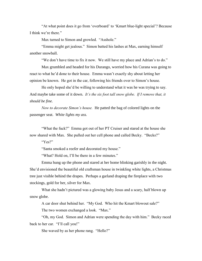"At what point does it go from 'overboard' to 'Kmart blue-light special'? Because I think we're there."

Max turned to Simon and growled. "Asshole."

"Emma might get jealous." Simon batted his lashes at Max, earning himself another snowball.

"We don't have time to fix it now. We still have my place and Adrian's to do."

Max grumbled and headed for his Durango, worried how his Curana was going to react to what he'd done to their house. Emma wasn't exactly shy about letting her opinion be known. He got in the car, following his friends over to Simon's house.

He only hoped she'd be willing to understand what it was he was trying to say. And maybe take some of it down. *It's the six foot tall snow globe. If I remove that, it should be fine.*

*Now to decorate Simon's house.* He patted the bag of colored lights on the passenger seat. *White lights my ass.*

"What the fuck?" Emma got out of her PT Cruiser and stared at the house she now shared with Max. She pulled out her cell phone and called Becky. "Becks?"

"Yes?"

"Santa smoked a reefer and decorated my house."

"What? Hold on, I'll be there in a few minutes."

Emma hung up the phone and stared at her home blinking garishly in the night. She'd envisioned the beautiful old craftsman house in twinkling white lights, a Christmas tree just visible behind the drapes. Perhaps a garland draping the fireplace with two stockings, gold for her, silver for Max.

What she hadn't pictured was a glowing baby Jesus and a scary, half blown up snow globe.

A car door shut behind her. "My God. Who hit the Kmart blowout sale?"

The two women exchanged a look. "Max."

"Oh, my God. Simon and Adrian were spending the day with him." Becky raced back to her car. "I'll call you!"

She waved by as her phone rang. "Hello?"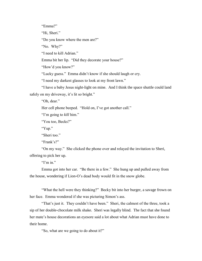"Emma?"

"Hi, Sheri."

"Do you know where the men are?"

"No. Why?"

"I need to kill Adrian."

Emma bit her lip. "Did they decorate your house?"

"How'd you know?"

"Lucky guess." Emma didn't know if she should laugh or cry.

"I need my darkest glasses to look at my front lawn."

"I have a baby Jesus night-light on mine. And I think the space shuttle could land safely on my driveway, it's lit so bright."

"Oh, dear."

Her cell phone beeped. "Hold on, I've got another call."

"I'm going to *kill* him."

"You too, Becks?"

"Yup."

"Sheri too."

"Frank's?"

"On my way." She clicked the phone over and relayed the invitation to Sheri, offering to pick her up.

" $\Gamma$ m in."

Emma got into her car. "Be there in a few." She hung up and pulled away from the house, wondering if Lion-O's dead body would fit in the snow globe.

"What the hell were they thinking?" Becky bit into her burger, a savage frown on her face. Emma wondered if she was picturing Simon's ass.

"That's just it. They couldn't have been." Sheri, the calmest of the three, took a sip of her double-chocolate milk shake. Sheri was legally blind. The fact that she found her mate's house decorations an eyesore said a lot about what Adrian must have done to their home.

"So, what are we going to do about it?"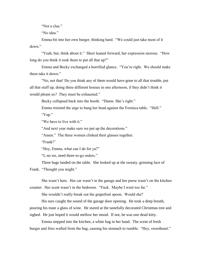"Not a clue."

"No idea."

Emma bit into her own burger, thinking hard. "We could just take most of it down."

"Yeah, but, think about it." Sheri leaned forward, her expression morose. "How long do you think it took them to put all that up?"

Emma and Becky exchanged a horrified glance. "You're right. We should make them take it down."

"No, not that! Do you think any of them would have gone to all that trouble, put all that stuff up, doing three different houses in one afternoon, if they didn't think it would please *us?* They must be exhausted."

Becky collapsed back into the booth. "Damn. She's right."

Emma resisted the urge to bang her head against the Formica table. "Hell." "Yup."

"We have to live with it."

"And next year make sure we put up the decorations."

"Amen." The three women clinked their glasses together.

"Frank!"

"Hey, Emma, what can I do for ya?"

"I, no we, need three to-go orders."

Three bags landed on the table. She looked up at the sweaty, grinning face of

Frank. "Thought you might."

She wasn't here. Her car wasn't in the garage and her purse wasn't on the kitchen counter. Her scent wasn't in the bedroom. "Fuck. Maybe I went too far."

She wouldn't really break out the grapefruit spoon. Would she?

His ears caught the sound of the garage door opening. He took a deep breath, pouring his mate a glass of wine. He stared at the tastefully decorated Christmas tree and sighed. He just hoped it would mellow her mood. If not, he was one dead kitty.

Emma stepped into the kitchen, a white bag in her hand. The scent of fresh burger and fries wafted from the bag, causing his stomach to rumble. "Hey, sweetheart."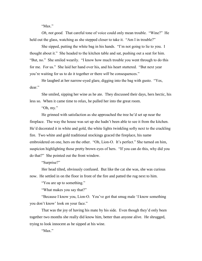"Max."

*Oh, not good.* That careful tone of voice could only mean trouble. "Wine?" He held out the glass, watching as she stepped closer to take it. "Am I in trouble?"

She sipped, putting the white bag in his hands. "I'm not going to lie to you. I thought about it." She headed to the kitchen table and sat, pushing out a seat for him. "But, no." She smiled wearily. "I know how much trouble you went through to do this for me. For us." She laid her hand over his, and his heart stuttered. "But next year you're waiting for us to do it together or there *will* be consequences."

He laughed at her narrow-eyed glare, digging into the bag with gusto. "Yes, dear."

She smiled, sipping her wine as he ate. They discussed their days, hers hectic, his less so. When it came time to relax, he pulled her into the great room.

"Oh, my."

He grinned with satisfaction as she approached the tree he'd set up near the fireplace. The way the house was set up she hadn't been able to see it from the kitchen. He'd decorated it in white and gold, the white lights twinkling softy next to the crackling fire. Two white and gold traditional stockings graced the fireplace, his name embroidered on one, hers on the other. "Oh, Lion-O. It's perfect." She turned on him, suspicion highlighting those pretty brown eyes of hers. "If you can do this, why did you do that?" She pointed out the front window.

"Surprise?"

Her head tilted, obviously confused. But like the cat she was, she was curious now. He settled in on the floor in front of the fire and patted the rug next to him.

"You are up to something."

"What makes you say that?"

"Because I know you, Lion-O. You've got that smug male 'I know something you don't know' look on your face."

That was the joy of having his mate by his side. Even though they'd only been together two months she really did know him, better than anyone alive. He shrugged, trying to look innocent as he sipped at his wine.

"Max."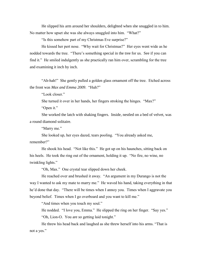He slipped his arm around her shoulders, delighted when she snuggled in to him. No matter how upset she was she always snuggled into him. "What?"

"Is this somehow part of my Christmas Eve surprise?"

He kissed her pert nose. "Why wait for Christmas?" Her eyes went wide as he nodded towards the tree. "There's something special in the tree for us. See if you can find it." He smiled indulgently as she practically ran him over, scrambling for the tree and examining it inch by inch.

"Ah-hah!" She gently pulled a golden glass ornament off the tree. Etched across the front was *Max and Emma 2009*. "Huh?"

"Look closer."

She turned it over in her hands, her fingers stroking the hinges. "Max?"

"Open it."

She worked the latch with shaking fingers. Inside, nestled on a bed of velvet, was a round diamond solitaire.

"Marry me."

She looked up, her eyes dazed, tears pooling. "You already asked me, remember?"

He shook his head. "Not like this." He got up on his haunches, sitting back on his heels. He took the ring out of the ornament, holding it up. "No fire, no wine, no twinkling lights."

"Oh, Max." One crystal tear slipped down her cheek.

He reached over and brushed it away. "An argument in my Durango is not the way I wanted to ask my mate to marry me." He waved his hand, taking everything in that he'd done that day. "There will be times when I annoy you. Times when I aggravate you beyond belief. Times when I go overboard and you want to kill me."

"And times when you touch my soul."

He nodded. "I love you, Emma." He slipped the ring on her finger. "Say yes."

"Oh, Lion-O. You are *so* getting laid tonight."

He threw his head back and laughed as she threw herself into his arms. "That is not a yes."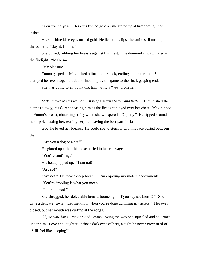"You want a yes?" Her eyes turned gold as she stared up at him through her lashes.

His sunshine-blue eyes turned gold. He licked his lips, the smile still turning up the corners. "Say it, Emma."

She purred, rubbing her breasts against his chest. The diamond ring twinkled in the firelight. "Make me."

"My pleasure."

Emma gasped as Max licked a line up her neck, ending at her earlobe. She clamped her teeth together, determined to play the game to the final, gasping end.

She was going to enjoy having him wring a "yes" from her.

*Making love to this woman just keeps getting better and better.* They'd shed their clothes slowly, his Curana teasing him as the firelight played over her chest. Max nipped at Emma's breast, chuckling softly when she whispered, "Oh, boy." He sipped around her nipple, tasting her, teasing her, but leaving the best part for last.

God, he loved her breasts. He could spend eternity with his face buried between them.

"Are you a dog or a cat?"

He glared up at her, his nose buried in her cleavage.

"You're snuffling."

His head popped up. "I am not!"

"Are so!"

"Am not." He took a deep breath. "I'm enjoying my mate's endowments." "You're drooling is what you mean."

"I do *not* drool."

She shrugged, her delectable breasts bouncing. "If you say so, Lion-O." She gave a delicate yawn. "Let me know when you're done admiring my assets." Her eyes closed, but her mouth was curling at the edges.

*Oh, no you don't.* Max tickled Emma, loving the way she squealed and squirmed under him. Love and laughter lit those dark eyes of hers, a sight he never grew tired of. "Still feel like sleeping?"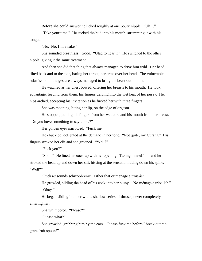Before she could answer he licked roughly at one pouty nipple. "Uh…"

"Take your time." He sucked the bud into his mouth, strumming it with his tongue.

"No. No, I'm awake."

She sounded breathless. *Good.* "Glad to hear it." He switched to the other nipple, giving it the same treatment.

And then she did that thing that always managed to drive him wild. Her head tilted back and to the side, baring her throat, her arms over her head. The vulnerable submission in the gesture always managed to bring the beast out in him.

He watched as her chest bowed, offering her breasts to his mouth. He took advantage, feeding from them, his fingers delving into the wet heat of her pussy. Her hips arched, accepting his invitation as he fucked her with three fingers.

She was moaning, biting her lip, on the edge of orgasm.

He stopped, pulling his fingers from her wet core and his mouth from her breast. "Do you have something to say to me?"

Her golden eyes narrowed. "Fuck me."

He chuckled, delighted at the demand in her tone. "Not quite, my Curana." His fingers stroked her clit and she groaned. "Well?"

"Fuck you?"

"Soon." He lined his cock up with her opening. Taking himself in hand he stroked the head up and down her slit, hissing at the sensation racing down his spine. "Well?"

"Fuck *us* sounds schizophrenic. Either that or ménage a trois-ish."

He growled, sliding the head of his cock into her pussy. "No ménage a trios-ish." "Okay."

He began sliding into her with a shallow series of thrusts, never completely entering her.

She whimpered. "Please?"

"Please what?"

She growled, grabbing him by the ears. "Please fuck me before I break out the grapefruit spoon!"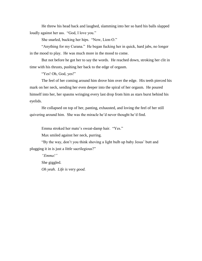He threw his head back and laughed, slamming into her so hard his balls slapped loudly against her ass. "God, I love you."

She snarled, bucking her hips. "Now, Lion-O."

"Anything for my Curana." He began fucking her in quick, hard jabs, no longer in the mood to play. He was much more in the mood to come.

But not before he got her to say the words. He reached down, stroking her clit in time with his thrusts, pushing her back to the edge of orgasm.

"Yes! Oh, God, yes!"

The feel of her coming around him drove him over the edge. His teeth pierced his mark on her neck, sending her even deeper into the spiral of her orgasm. He poured himself into her, her spasms wringing every last drop from him as stars burst behind his eyelids.

He collapsed on top of her, panting, exhausted, and loving the feel of her still quivering around him. She was the miracle he'd never thought he'd find.

Emma stroked her mate's sweat-damp hair. "Yes."

Max smiled against her neck, purring.

"By the way, don't you think shoving a light bulb up baby Jesus' butt and plugging it in is just a *little* sacrilegious?"

*"Emma!"* She giggled. *Oh yeah. Life is* very *good.*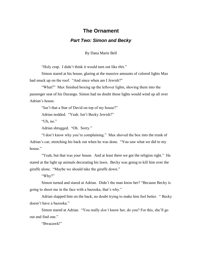## **The Ornament**  *Part Two: Simon and Becky*

By Dana Marie Bell

"Holy crap. I didn't think it would turn out like *this*."

Simon stared at his house, glaring at the massive amounts of colored lights Max had snuck up on the roof. "And since when am I Jewish?"

"What?" Max finished boxing up the leftover lights, shoving them into the passenger seat of his Durango. Simon had no doubt those lights would wind up all over Adrian's house.

"Isn't that a Star of David on top of my house?"

Adrian nodded. "Yeah. Isn't Becky Jewish?"

"Uh, no."

Adrian shrugged. "Oh. Sorry."

"I don't know why you're complaining." Max shoved the box into the trunk of Adrian's car, stretching his back out when he was done. "You saw what we did to my house."

"Yeah, but that was *your* house. And at least there we got the religion right." He stared at the light up animals decorating his lawn. Becky was going to kill him over the giraffe alone. "Maybe we should take the giraffe down."

"Why?"

Simon turned and stared at Adrian. Didn't the man *know* her? "Because Becky is going to shoot me in the face with a bazooka, that's why."

Adrian slapped him on the back, no doubt trying to make him feel better. " Becky doesn't have a bazooka."

Simon stared at Adrian. "You really *don't* know her, do you? For this, she'll go out and find one."

"Bwacawk!"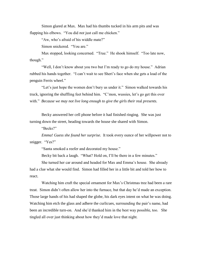Simon glared at Max. Max had his thumbs tucked in his arm pits and was flapping his elbows. "You did *not* just call me chicken."

"Aw, who's afraid of his widdle mate?"

Simon snickered. "You are."

Max stopped, looking concerned. "True." He shook himself. "Too late now, though."

"Well, I don't know about you two but I'm ready to go do my house." Adrian rubbed his hands together. "I can't wait to see Sheri's face when she gets a load of the penguin Ferris wheel."

"Let's just hope the women don't bury us under it." Simon walked towards his truck, ignoring the shuffling feet behind him. "C'mon, wussies, let's go get this over with." *Because we may not live long enough to give the girls their real presents.* 

Becky answered her cell phone before it had finished ringing. She was just turning down the street, heading towards the house she shared with Simon.

"Becks?"

*Emma! Guess she found her surprise.* It took every ounce of her willpower not to snigger. "Yes?"

"Santa smoked a reefer and decorated my house."

Becky bit back a laugh. "What? Hold on, I'll be there in a few minutes."

She turned her car around and headed for Max and Emma's house. She already had a clue what she would find. Simon had filled her in a little bit and told her how to react.

Watching him craft the special ornament for Max's Christmas tree had been a rare treat. Simon didn't often allow her into the furnace, but that day he'd made an exception. Those large hands of his had shaped the globe, his dark eyes intent on what he was doing. Watching him etch the glass and adhere the curlicues, surrounding the pair's name, had been an incredible turn-on. And she'd thanked him in the best way possible, too. She tingled all over just thinking about how they'd made love that night.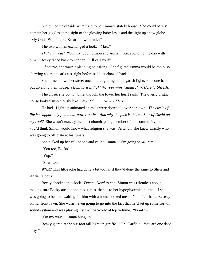She pulled up outside what used to be Emma's stately house. She could barely contain her giggles at the sight of the glowing baby Jesus and the light up snow globe. "My God. Who hit the Kmart blowout sale?"

The two women exchanged a look. "Max."

*That's my cue!* "Oh, my God. Simon and Adrian were spending the day with him." Becky raced back to her car. "I'll call you!"

Of course, she wasn't planning on calling. She figured Emma would be too busy chewing a certain cat's ass, right before said cat chewed back.

She turned down her street once more, glaring at the garish lights someone had put up along their house. *Might as well light the roof with "Santa Park Here". Sheesh.*

The closer she got to home, though, the lower her heart sank. The overly bright house looked suspiciously like... *No. Oh, no. He wouldn't.*

He had. Light up animated animals were dotted all over her lawn. *The circle of life has apparently found our power outlet. And why the fuck is there a Star of David on my roof?* She wasn't exactly the most church-going member of the community, but you'd think Simon would know what religion she was. After all, she knew exactly who was going to officiate at his funeral.

She picked up her cell phone and called Emma. "I'm going to *kill* him."

"You too, Becks?"

"Yup."

"Sheri too."

*What?* This little joke had gone a bit too far if they'd done the same to Sheri and Adrian's house.

Becky checked the clock. *Damn. Need to eat.* Simon was relentless about making sure Becky ate at appointed times, thanks to her hypoglycemia, but hell if she was going to be here waiting for him with a home cooked meal. Not after that... *travesty* on her front lawn. She wasn't even going to go into the fact that he'd set up some sort of sound system and was playing Oy To The World at top volume. "Frank's?"

"On my way." Emma hung up.

Becky glared at the six foot tall light up giraffe. "Oh, Garfield. You are one dead kitty."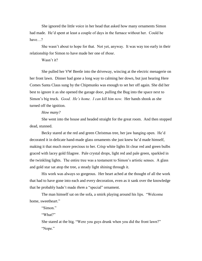She ignored the little voice in her head that asked how many ornaments Simon had made. He'd spent at least a couple of days in the furnace without her. Could he have…?

She wasn't about to hope for that. Not yet, anyway. It was way too early in their relationship for Simon to have made her one of *those*.

Wasn't it?

She pulled her VW Beetle into the driveway, wincing at the electric menagerie on her front lawn. Dinner had gone a long way to calming her down, but just hearing Here Comes Santa Claus sung by the Chipmunks was enough to set her off again. She did her best to ignore it as she opened the garage door, pulling the Bug into the space next to Simon's big truck. *Good. He's home. I can kill him now.* Her hands shook as she turned off the ignition.

#### *How many?*

She went into the house and headed straight for the great room. And then stopped dead, stunned.

Becky stared at the red and green Christmas tree, her jaw hanging open. He'd decorated it in delicate hand-made glass ornaments she just knew he'd made himself, making it that much more precious to her. Crisp white lights lit clear red and green bulbs graced with lacey gold filagree. Pale crystal drops, light red and pale green, sparkled in the twinkling lights. The entire tree was a testament to Simon's artistic senses. A glass and gold star sat atop the tree, a steady light shining through it.

His work was always so gorgeous. Her heart ached at the thought of all the work that had to have gone into each and every decoration, even as it sank over the knowledge that he probably hadn't made *them* a "special" ornament.

The man himself sat on the sofa, a smirk playing around his lips. "Welcome home, sweetheart."

"Simon."

"What?"

She stared at the big. "Were you guys drunk when you did the front lawn?" "Nope."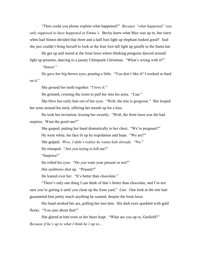"Then could you please explain what happened?" *Because "what happened" was only supposed to have happened at Emma's.* Becky knew what Max was up to, but since when had Simon decided that three and a half foot light up elephant looked *good*? And she just couldn't bring herself to look at the four foot tall light up giraffe in the Santa hat.

He got up and stared at the front lawn where blinking penguins danced around light up presents, dancing to a jaunty Chimpunk Christmas. "What's wrong with it?"

*"Simon!"*

He gave her big brown eyes, pouting a little. "You don't like it? I worked so hard on it."

She ground her teeth together. "I love it."

He grinned, crossing the room to pull her into his arms. "Liar."

She blew her curly hair out of her eyes. "Well, the tree is gorgeous." She looped her arms around his neck, offering her mouth up for a kiss.

He took her invitation, kissing her sweetly. "Well, the front lawn was the bad surprise. Want the good one?"

She gasped, putting her hand dramatically to her chest. "We're pregnant?"

He went white, his face lit up by trepidation and hope. "We are?"

She gulped. *Wow, I didn't realize he wants kids already.* "No."

He slumped. "Are you trying to kill me?"

"Surprise!"

He rolled his eyes. "Do you want your present or not?"

Her eyebrows shot up. "Present?"

He leaned over her. "It's better than chocolate."

"There's only one thing I can think of that's better than chocolate, and I'm not sure you're getting it until you clean up the front yard." *Liar.* One look at the tree had guaranteed him pretty much anything he wanted, despite the front lawn.

His hand stroked her ass, pulling her into him. His dark eyes sparkled with gold flecks. "You sure about that?"

She glared at him even as her heart leapt. "What are you up to, Garfield?" *Because if he's up to what I think he's up to…*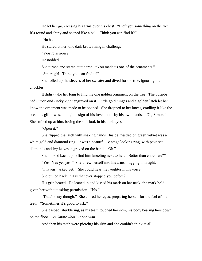He let her go, crossing his arms over his chest. "I left you something on the tree. It's round and shiny and shaped like a ball. Think you can find it?"

"Ha ha."

He stared at her, one dark brow rising in challenge.

"You're serious?"

He nodded.

She turned and stared at the tree. "You made us one of the ornaments."

"Smart girl. Think you can find it?"

She rolled up the sleeves of her sweater and dived for the tree, ignoring his chuckles.

It didn't take her long to find the one golden ornament on the tree. The outside had *Simon and Becky 2009* engraved on it. Little gold hinges and a golden latch let her know the ornament was made to be opened. She dropped to her knees, cradling it like the precious gift it was, a tangible sign of his love, made by his own hands. "Oh, Simon." She smiled up at him, loving the soft look in his dark eyes.

"Open it."

She flipped the latch with shaking hands. Inside, nestled on green velvet was a white gold and diamond ring. It was a beautiful, vintage looking ring, with pave set diamonds and ivy leaves engraved on the band. "Oh."

She looked back up to find him kneeling next to her. "Better than chocolate?"

"Yes! Yes yes yes!" She threw herself into his arms, hugging him tight.

"I haven't asked yet." She could hear the laughter in his voice.

She pulled back. "Has that ever stopped you before?"

His grin heated. He leaned in and kissed his mark on her neck, the mark he'd given her without asking permission. "No."

"That's okay though." She closed her eyes, preparing herself for the feel of his teeth. "Sometimes it's good to ask."

She gasped, shuddering, as his teeth touched her skin, his body bearing hers down on the floor. *You know what? It can wait.*

And then his teeth were piercing his skin and she couldn't think at all.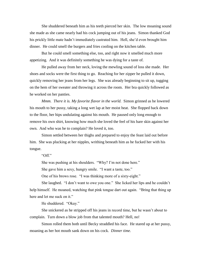She shuddered beneath him as his teeth pierced her skin. The low moaning sound she made as she came nearly had his cock jumping out of his jeans. Simon thanked God his prickly little mate hadn't immediately castrated him. Hell, she'd even brought him dinner. He could smell the burgers and fries cooling on the kitchen table.

But he could smell something else, too, and right now it smelled much more appetizing. And it was definitely something he was dying for a taste of.

He pulled away from her neck, loving the mewling sound of loss she made. Her shoes and socks were the first thing to go. Reaching for her zipper he pulled it down, quickly removing her jeans from her legs. She was already beginning to sit up, tugging on the hem of her sweater and throwing it across the room. Her bra quickly followed as he worked on her panties.

*Mmm. There it is. My favorite flavor in the world.* Simon grinned as he lowered his mouth to her pussy, taking a long wet lap at her moist heat. She flopped back down to the floor, her hips undulating against his mouth. He paused only long enough to remove his own shirt, knowing how much she loved the feel of his bare skin against her own. And who was he to complain? He loved it, too.

Simon settled between her thighs and prepared to enjoy the feast laid out before him. She was plucking at her nipples, writhing beneath him as he fucked her with his tongue.

"Off."

She was pushing at his shoulders. "Why? I'm not done here."

She gave him a sexy, hungry smile. "I want a taste, too."

One of his brows rose. "I was thinking more of a sixty-eight."

She laughed. "I don't want to owe you one." She licked her lips and he couldn't help himself. He moaned, watching that pink tongue dart out again. "Bring that thing up here and let me suck on it."

He shuddered. "Okay."

She snickered as he stripped off his jeans in record time, but he wasn't about to complain. Turn down a blow job from that talented mouth? Hell, no!

Simon rolled them both until Becky straddled his face. He stared up at her pussy, moaning as her hot mouth sank down on his cock. *Dinner time.*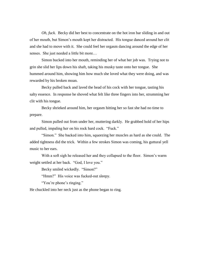*Oh, fuck.* Becky did her best to concentrate on the hot iron bar sliding in and out of her mouth, but Simon's mouth kept her distracted. His tongue danced around her clit and she had to move with it. She could feel her orgasm dancing around the edge of her senses. She just needed a little bit more...

Simon bucked into her mouth, reminding her of what her job was. Trying not to grin she slid her lips down his shaft, taking his musky taste onto her tongue. She hummed around him, showing him how much she loved what they were doing, and was rewarded by his broken moan.

Becky pulled back and laved the head of his cock with her tongue, tasting his salty essence. In response he shoved what felt like three fingers into her, strumming her clit with his tongue.

Becky shrieked around him, her orgasm hitting her so fast she had no time to prepare.

Simon pulled out from under her, muttering darkly. He grabbed hold of her hips and pulled, impaling her on his rock hard cock. "Fuck."

"Simon." She backed into him, squeezing her muscles as hard as she could. The added tightness did the trick. Within a few strokes Simon was coming, his guttural yell music to her ears.

With a soft sigh he released her and they collapsed to the floor. Simon's warm weight settled at her back. "God, I love you."

Becky smiled wickedly. "Simon?"

"Hmm?" His voice was fucked-out sleepy.

"You're phone's ringing."

He chuckled into her neck just as the phone began to ring.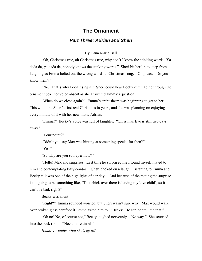# **The Ornament**  *Part Three: Adrian and Sheri*

By Dana Marie Bell

"Oh, Christmas tree, oh Christmas tree, why don't I know the stinking words. Ya dada da, ya dada da, nobody knows the stinking words." Sheri bit her lip to keep from laughing as Emma belted out the wrong words to Christmas song. "Oh please. Do you know them?"

"No. That's why I don't sing it." Sheri could hear Becky rummaging through the ornament box, her voice absent as she answered Emma's question.

"When do we close again?" Emma's enthusiasm was beginning to get to her. This would be Sheri's first real Christmas in years, and she was planning on enjoying every minute of it with her new mate, Adrian.

"Emma!" Becky's voice was full of laughter. "Christmas Eve is still two days away."

"Your point?"

"Didn't you say Max was hinting at something special for then?"

"Yes."

"So why are you so hyper now?"

"Hello! Max and surprises. Last time he surprised me I found myself mated to him and contemplating kitty condos." Sheri choked on a laugh. Listening to Emma and Becky talk was one of the highlights of her day. "And because of the mating the surprise isn't going to be something like, 'That chick over there is having my love child', so it can't be bad, right?"

Becky was silent.

"Right?" Emma sounded worried, but Sheri wasn't sure why. Max would walk over broken glass barefoot if Emma asked him to. "Becks! He can *not* tell me that."

"Oh no! No, of course not," Becky laughed nervously. "No way." She scurried into the back room. "Need more tinsel!"

*Hmm. I wonder what she's up to?*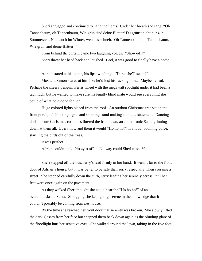Sheri shrugged and continued to hang the lights. Under her breath she sang, "Oh Tannenbaum, oh Tannenbaum, Wie grün sind deine Blätter! Du grünst nicht nur zur Sommerzeit, Nein auch im Winter, wenn es schneit. Oh Tannenbaum, oh Tannenbaum, Wie grün sind deine Blätter!"

From behind the curtain came two laughing voices. "Show-off!" Sheri threw her head back and laughed. God, it was good to finally have a home.

Adrian stared at his home, his lips twitching. "Think she'll see it?"

Max and Simon stared at him like he'd lost his fucking mind. Maybe he had. Perhaps the cheery penguin Ferris wheel with the megawatt spotlight under it had been a tad much, but he wanted to make sure his legally blind mate would see everything she could of what he'd done for her.

Huge colored lights blazed from the roof. An outdoor Christmas tree sat on the front porch, it's blinking lights and spinning stand making a unique statement. Dancing dolls in cute Christmas costumes littered the front lawn, an animatronic Santa grinning down at them all. Every now and them it would "Ho ho ho!" in a loud, booming voice, startling the birds out of the trees.

It was perfect.

Adrian couldn't take his eyes off it. No way could Sheri miss *this*.

Sheri stepped off the bus, Jerry's lead firmly in her hand. It wasn't far to the front door of Adrian's house, but it was better to be safe than sorry, especially when crossing a street. She stepped carefully down the curb, Jerry leading her serenely across until her feet were once again on the pavement.

As they walked Sheri thought she could hear the "Ho ho ho!" of an overenthusiastic Santa. Shrugging she kept going, serene in the knowledge that it couldn't possibly be coming from *her* house.

By the time she reached her front door that serenity was broken. She slowly lifted the dark glasses from her face but snapped them back down again as the blinding glare of the floodlight hurt her sensitive eyes. She walked around the lawn, taking in the five foot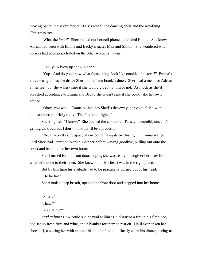moving Santa, the seven foot tall Ferris wheel, the dancing dolls and the revolving Christmas tree.

"What the *fuck?*" Sheri pulled out her cell phone and dialed Emma. She knew Adrian had been with Emma and Becky's mates Max and Simon. She wondered what horrors had been perpetrated on the other womens' lawns.

"Really? A blow up snow globe?"

"Yup. And do you know what those things look like outside of a store?" Emma's voice was glum as she drove Sheri home from Frank's diner. Sheri had a meal for Adrian at her feet, but she wasn't sure if she would give it to him or not. As much as she'd preached acceptance to Emma and Becky she wasn't sure if she could take her own advice.

"Okay, you win." Emma pulled into Sheri's driveway, her voice filled with amused horror. "Holy moly. That's a lot of lights."

Sheri sighed. "I know." She opened the car door. "I'd say be careful, since it's getting dark out, but I don't think that'll be a problem."

"No, I'm pretty sure space aliens could navigate by this light." Emma waited until Sheri had Jerry and Adrian's dinner before waving goodbye, pulling out onto the street and heading for her own home.

Sheri turned for the front door, hoping she was ready to forgiver her mate for what he'd done to their lawn. She knew him. His heart was in the right place.

But by this time his eyeballs had to be practically burned out of his head. "Ho ho ho!"

Sheri took a deep breath, opened the front door and stepped into her home.

"Sheri?"

"Hmm?"

"Mad at me?"

*Mad at him?* How could she be mad at him? He'd started a fire in his fireplace, had set up fresh fruit and wine, and a blanket for them to rest on. He'd even taken her shoes off, covering her with another blanket before he'd finally eaten his dinner, seeing to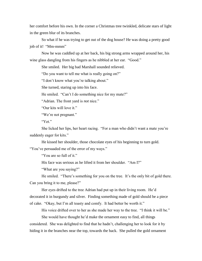her comfort before his own. In the corner a Christmas tree twinkled, delicate stars of light in the green blur of its branches.

So what if he was trying to get out of the dog house? He was doing a pretty good job of it! "Mm-mmm"

Now he was cuddled up at her back, his big strong arms wrapped around her, his wine glass dangling from his fingers as he nibbled at her ear. "Good."

She smiled. Her big bad Marshall sounded relieved.

"Do you want to tell me what is really going on?"

"I don't know what you're talking about."

She turned, staring up into his face.

He smiled. "Can't I do something nice for my mate?"

"Adrian. The front yard is *not* nice."

"Our kits will love it."

"We're not pregnant."

"Yet."

She licked her lips, her heart racing. "For a man who didn't want a mate you're suddenly eager for kits."

He kissed her shoulder, those chocolate eyes of his beginning to turn gold. "You've persuaded me of the error of my ways."

"You are so full of it."

His face was serious as he lifted it from her shoulder. "Am I?"

"What are you saying?"

He smiled. "There's something for you on the tree. It's the only bit of gold there. Can you bring it to me, please?"

Her eyes drifted to the tree Adrian had put up in their living room. He'd decorated it in burgundy and silver. Finding something made of gold should be a piece of cake. "Okay, but I'm all toasty and comfy. It had better be worth it."

His voice drifted over to her as she made her way to the tree. "I think it will be."

She would have thought he'd make the ornament easy to find, all things considered. She was delighted to find that he hadn't, challenging her to look for it by hiding it in the branches near the top, towards the back. She pulled the gold ornament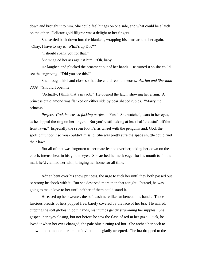down and brought it to him. She could feel hinges on one side, and what could be a latch on the other. Delicate gold filigree was a delight to her fingers.

She settled back down into the blankets, wrapping his arms around her again. "Okay, I have to say it. What's up Doc?"

"I should spank you for that."

She wiggled her ass against him. "Oh, baby."

He laughed and plucked the ornament out of her hands. He turned it so she could see the engraving. "Did you see this?"

She brought his hand close so that she could read the words. *Adrian and Sheridan 2009*. "Should I open it?"

"Actually, I think that's my job." He opened the latch, showing her a ring. A princess cut diamond was flanked on either side by pear shaped rubies. "Marry me, princess."

*Perfect. God, he was so fucking perfect.* "Yes." She watched, tears in her eyes, as he slipped the ring on her finger. "But you're still taking at least half that stuff off the front lawn." Especially the seven foot Ferris wheel with the penguins and, God, the spotlight under it so you couldn't miss it. She was pretty sure the space shuttle could find their lawn.

But all of that was forgotten as her mate leaned over her, taking her down on the couch, intense heat in his golden eyes. She arched her neck eager for his mouth to fin the mark he'd claimed her with, bringing her home for all time.

Adrian bent over his snow princess, the urge to fuck her until they both passed out so strong he shook with it. But she deserved more than that tonight. Instead, he was going to make love to her until neither of them could stand it.

He eased up her sweater, the soft cashmere like fur beneath his hands. Those luscious breasts of hers popped free, barely covered by the lace of her bra. He smiled, cupping the soft globes in both hands, his thumbs gently strumming her nipples. She gasped, her eyes closing, but not before he saw the flash of red in her gaze. Fuck, he loved it when her eyes changed, the pale blue turning red hot. She arched her back to allow him to unhook her bra, an invitation he gladly accepted. The bra dropped to the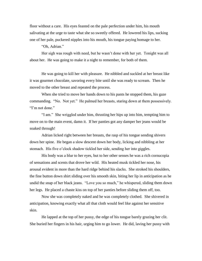floor without a care. His eyes feasted on the pale perfection under him, his mouth salivating at the urge to taste what she so sweetly offered. He lowered his lips, sucking one of her pale, puckered nipples into his mouth, his tongue paying homage to her.

"Oh, Adrian."

Her sigh was rough with need, but he wasn't done with her yet. Tonight was all about her. He was going to make it a night to remember, for both of them.

He was going to kill her with pleasure. He nibbled and suckled at her breast like it was gourmet chocolate, savoring every bite until she was ready to scream. Then he moved to the other breast and repeated the process.

When she tried to move her hands down to his pants he stopped them, his gaze commanding. "No. Not yet." He palmed her breasts, staring down at them possessively. "I'm not done."

"I am." She wriggled under him, thrusting her hips up into him, tempting him to move on to the main event, damn it. If her panties got any damper her jeans would be soaked through!

Adrian licked right between her breasts, the rasp of his tongue sending shivers down her spine. He began a slow descent down her body, licking and nibbling at her stomach. His five o'clock shadow tickled her side, sending her into giggles.

His body was a blur to her eyes, but to her other senses he was a rich cornucopia of sensations and scents that drove her wild. His heated musk tickled her nose, his arousal evident in more than the hard ridge behind his slacks. She stroked his shoulders, the fine button down shirt sliding over his smooth skin, biting her lip in anticipation as he undid the snap of her black jeans. "Love you so much," he whispered, sliding them down her legs. He placed a chaste kiss on top of her panties before sliding them off, too.

Now she was completely naked and he was completely clothed. She shivered in anticipation, knowing exactly what all that cloth would feel like against her sensitive skin.

He lapped at the top of her pussy, the edge of his tongue barely grazing her clit. She buried her fingers in his hair, urging him to go lower. He did, laving her pussy with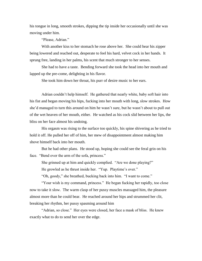his tongue in long, smooth strokes, dipping the tip inside her occasionally until she was moving under him.

"Please, Adrian."

With another kiss to her stomach he rose above her. She could hear his zipper being lowered and reached out, desperate to feel his hard, velvet cock in her hands. It sprung free, landing in her palms, his scent that much stronger to her senses.

She had to have a taste. Bending forward she took the head into her mouth and lapped up the pre-come, delighting in his flavor.

She took him down her throat, his purr of desire music to her ears.

Adrian couldn't help himself. He gathered that nearly white, baby soft hair into his fist and began moving his hips, fucking into her mouth with long, slow strokes. How she'd managed to turn this around on him he wasn't sure, but he wasn't about to pull out of the wet heaven of her mouth, either. He watched as his cock slid between her lips, the bliss on her face almost his undoing.

His orgasm was rising to the surface too quickly, his spine shivering as he tried to hold it off. He pulled her off of him, her mew of disappointment almost making him shove himself back into her mouth.

But he had other plans. He stood up, hoping she could see the feral grin on his face. "Bend over the arm of the sofa, princess."

She grinned up at him and quickly complied. "Are we done playing?"

He growled as he thrust inside her. "Yup. Playtime's over."

"Oh, goody," she breathed, bucking back into him. "I want to come."

"Your wish is my command, princess." He began fucking her rapidly, too close now to take it slow. The warm clasp of her pussy muscles massaged him, the pleasure almost more than he could bear. He reached around her hips and strummed her clit, breaking her rhythm, her pussy spasming around him

"Adrian, so close." Her eyes were closed, her face a mask of bliss. He knew exactly what to do to send her over the edge.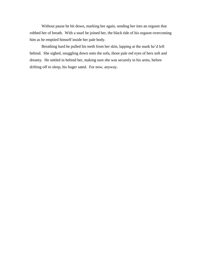Without pause he bit down, marking her again, sending her into an orgasm that robbed her of breath. With a snarl he joined her, the black tide of his orgasm overcoming him as he emptied himself inside her pale body.

Breathing hard he pulled his teeth from her skin, lapping at the mark he'd left behind. She sighed, snuggling down onto the sofa, those pale red eyes of hers soft and dreamy. He settled in behind her, making sure she was securely in his arms, before drifting off to sleep, his huger sated. For now, anyway.